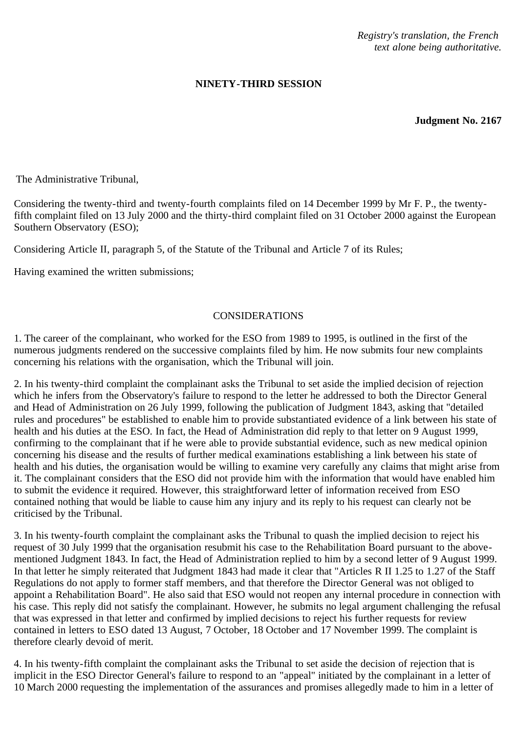*Registry's translation, the French text alone being authoritative.*

## **NINETY-THIRD SESSION**

**Judgment No. 2167**

The Administrative Tribunal,

Considering the twenty-third and twenty-fourth complaints filed on 14 December 1999 by Mr F. P., the twentyfifth complaint filed on 13 July 2000 and the thirty-third complaint filed on 31 October 2000 against the European Southern Observatory (ESO);

Considering Article II, paragraph 5, of the Statute of the Tribunal and Article 7 of its Rules;

Having examined the written submissions;

## CONSIDERATIONS

1. The career of the complainant, who worked for the ESO from 1989 to 1995, is outlined in the first of the numerous judgments rendered on the successive complaints filed by him. He now submits four new complaints concerning his relations with the organisation, which the Tribunal will join.

2. In his twenty-third complaint the complainant asks the Tribunal to set aside the implied decision of rejection which he infers from the Observatory's failure to respond to the letter he addressed to both the Director General and Head of Administration on 26 July 1999, following the publication of Judgment 1843, asking that "detailed rules and procedures" be established to enable him to provide substantiated evidence of a link between his state of health and his duties at the ESO. In fact, the Head of Administration did reply to that letter on 9 August 1999, confirming to the complainant that if he were able to provide substantial evidence, such as new medical opinion concerning his disease and the results of further medical examinations establishing a link between his state of health and his duties, the organisation would be willing to examine very carefully any claims that might arise from it. The complainant considers that the ESO did not provide him with the information that would have enabled him to submit the evidence it required. However, this straightforward letter of information received from ESO contained nothing that would be liable to cause him any injury and its reply to his request can clearly not be criticised by the Tribunal.

3. In his twenty-fourth complaint the complainant asks the Tribunal to quash the implied decision to reject his request of 30 July 1999 that the organisation resubmit his case to the Rehabilitation Board pursuant to the abovementioned Judgment 1843. In fact, the Head of Administration replied to him by a second letter of 9 August 1999. In that letter he simply reiterated that Judgment 1843 had made it clear that "Articles R II 1.25 to 1.27 of the Staff Regulations do not apply to former staff members, and that therefore the Director General was not obliged to appoint a Rehabilitation Board". He also said that ESO would not reopen any internal procedure in connection with his case. This reply did not satisfy the complainant. However, he submits no legal argument challenging the refusal that was expressed in that letter and confirmed by implied decisions to reject his further requests for review contained in letters to ESO dated 13 August, 7 October, 18 October and 17 November 1999. The complaint is therefore clearly devoid of merit.

4. In his twenty-fifth complaint the complainant asks the Tribunal to set aside the decision of rejection that is implicit in the ESO Director General's failure to respond to an "appeal" initiated by the complainant in a letter of 10 March 2000 requesting the implementation of the assurances and promises allegedly made to him in a letter of